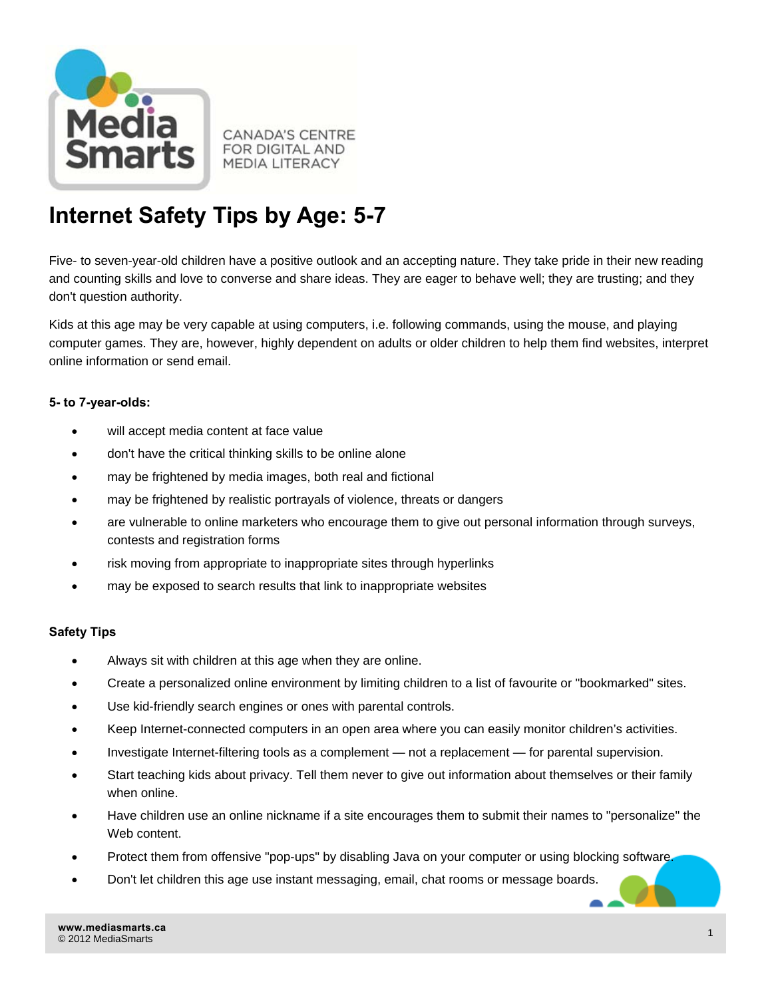

**CANADA'S CENTRE FOR DIGITAL AND MEDIA LITERACY** 

## **Internet Safety Tips by Age: 5-7**

Five- to seven-year-old children have a positive outlook and an accepting nature. They take pride in their new reading and counting skills and love to converse and share ideas. They are eager to behave well; they are trusting; and they don't question authority.

Kids at this age may be very capable at using computers, i.e. following commands, using the mouse, and playing computer games. They are, however, highly dependent on adults or older children to help them find websites, interpret online information or send email.

## **5- to 7-year-olds:**

- will accept media content at face value
- don't have the critical thinking skills to be online alone
- may be frightened by media images, both real and fictional
- may be frightened by realistic portrayals of violence, threats or dangers
- are vulnerable to online marketers who encourage them to give out personal information through surveys, contests and registration forms
- risk moving from appropriate to inappropriate sites through hyperlinks
- may be exposed to search results that link to inappropriate websites

## **Safety Tips**

- Always sit with children at this age when they are online.
- Create a personalized online environment by limiting children to a list of favourite or "bookmarked" sites.
- Use kid-friendly search engines or ones with parental controls.
- Keep Internet-connected computers in an open area where you can easily monitor children's activities.
- Investigate Internet-filtering tools as a complement not a replacement for parental supervision.
- Start teaching kids about privacy. Tell them never to give out information about themselves or their family when online.
- Have children use an online nickname if a site encourages them to submit their names to "personalize" the Web content.
- Protect them from offensive "pop-ups" by disabling Java on your computer or using blocking software.
- Don't let children this age use instant messaging, email, chat rooms or message boards.